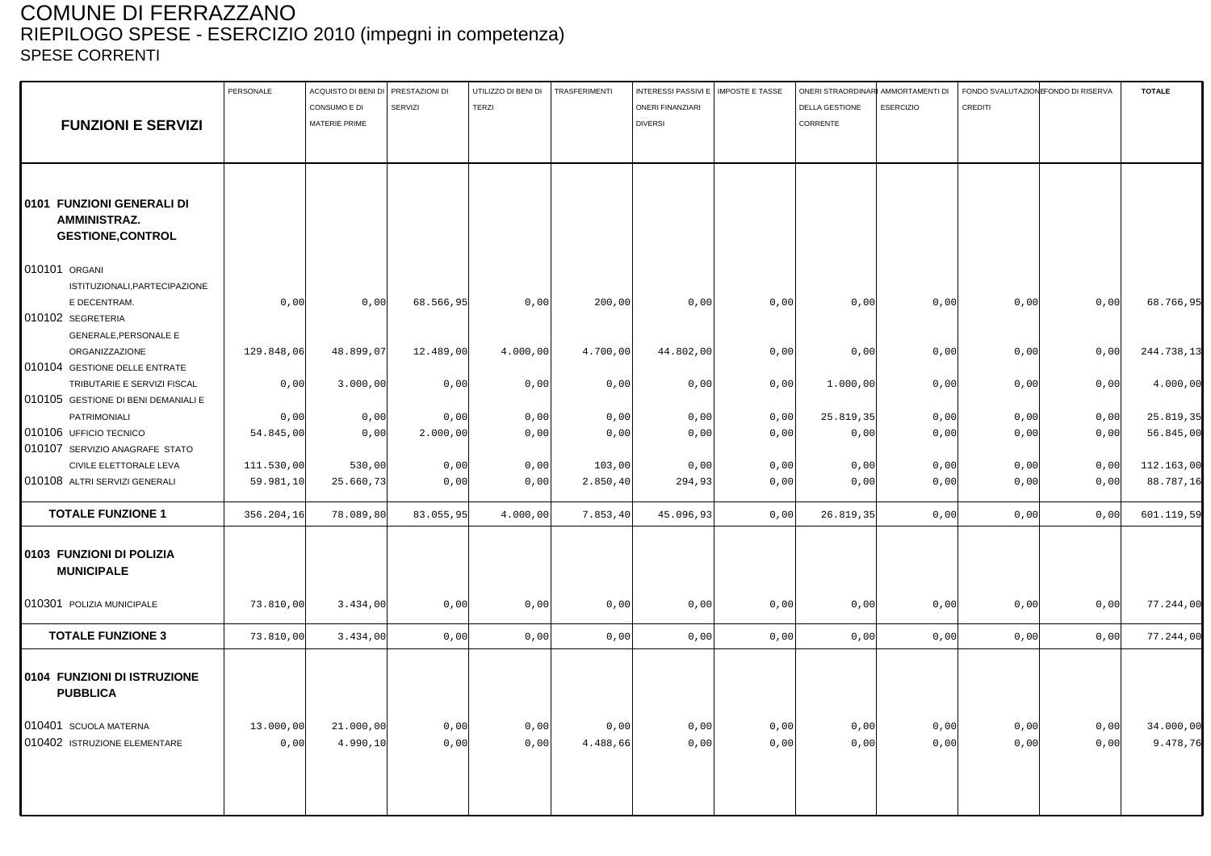## COMUNE DI FERRAZZANO RIEPILOGO SPESE - ESERCIZIO 2010 (impegni in competenza) SPESE CORRENTI

|                                                | PERSONALE  | ACQUISTO DI BENI DI PRESTAZIONI DI |                | UTILIZZO DI BENI DI | <b>TRASFERIMENTI</b> | INTERESSI PASSIVI E   IMPOSTE E TASSE |      | ONERI STRAORDINARI AMMORTAMENTI DI |                  | FONDO SVALUTAZIONE ONDO DI RISERVA |      | <b>TOTALE</b> |
|------------------------------------------------|------------|------------------------------------|----------------|---------------------|----------------------|---------------------------------------|------|------------------------------------|------------------|------------------------------------|------|---------------|
|                                                |            | CONSUMO E DI                       | <b>SERVIZI</b> | <b>TERZI</b>        |                      | <b>ONERI FINANZIARI</b>               |      | <b>DELLA GESTIONE</b>              | <b>ESERCIZIO</b> | CREDITI                            |      |               |
| <b>FUNZIONI E SERVIZI</b>                      |            | MATERIE PRIME                      |                |                     |                      | <b>DIVERSI</b>                        |      | CORRENTE                           |                  |                                    |      |               |
|                                                |            |                                    |                |                     |                      |                                       |      |                                    |                  |                                    |      |               |
|                                                |            |                                    |                |                     |                      |                                       |      |                                    |                  |                                    |      |               |
|                                                |            |                                    |                |                     |                      |                                       |      |                                    |                  |                                    |      |               |
| 0101 FUNZIONI GENERALI DI                      |            |                                    |                |                     |                      |                                       |      |                                    |                  |                                    |      |               |
| AMMINISTRAZ.                                   |            |                                    |                |                     |                      |                                       |      |                                    |                  |                                    |      |               |
| <b>GESTIONE, CONTROL</b>                       |            |                                    |                |                     |                      |                                       |      |                                    |                  |                                    |      |               |
| 010101 ORGANI                                  |            |                                    |                |                     |                      |                                       |      |                                    |                  |                                    |      |               |
| ISTITUZIONALI, PARTECIPAZIONE                  |            |                                    |                |                     |                      |                                       |      |                                    |                  |                                    |      |               |
| E DECENTRAM.                                   | 0,00       | 0,00                               | 68.566,95      | 0,00                | 200,00               | 0,00                                  | 0,00 | 0,00                               | 0,00             | 0,00                               | 0,00 | 68.766,95     |
| 010102 SEGRETERIA                              |            |                                    |                |                     |                      |                                       |      |                                    |                  |                                    |      |               |
| <b>GENERALE, PERSONALE E</b>                   |            |                                    |                |                     |                      |                                       |      |                                    |                  |                                    |      |               |
| ORGANIZZAZIONE                                 | 129.848,06 | 48.899,07                          | 12.489,00      | 4.000,00            | 4.700,00             | 44.802,00                             | 0,00 | 0,00                               | 0,00             | 0,00                               | 0,00 | 244.738,13    |
| 010104 GESTIONE DELLE ENTRATE                  |            |                                    |                |                     |                      |                                       |      |                                    |                  |                                    |      |               |
| TRIBUTARIE E SERVIZI FISCAL                    | 0,00       | 3.000,00                           | 0,00           | 0,00                | 0,00                 | 0,00                                  | 0,00 | 1.000,00                           | 0,00             | 0,00                               | 0,00 | 4.000,00      |
| 010105 GESTIONE DI BENI DEMANIALI E            |            |                                    |                |                     |                      |                                       |      |                                    |                  |                                    |      |               |
| PATRIMONIALI                                   | 0,00       | 0,00                               | 0,00           | 0,00                | 0,00                 | 0,00                                  | 0,00 | 25.819,35                          | 0,00             | 0,00                               | 0,00 | 25.819,35     |
| 010106 UFFICIO TECNICO                         | 54.845,00  | 0,00                               | 2.000,00       | 0,00                | 0,00                 | 0,00                                  | 0,00 | 0,00                               | 0,00             | 0,00                               | 0,00 | 56.845,00     |
| 010107 SERVIZIO ANAGRAFE STATO                 |            |                                    |                |                     |                      |                                       |      |                                    |                  |                                    |      |               |
| CIVILE ELETTORALE LEVA                         | 111.530,00 | 530,00                             | 0,00           | 0,00                | 103,00               | 0,00                                  | 0,00 | 0,00                               | 0,00             | 0,00                               | 0,00 |               |
| 010108 ALTRI SERVIZI GENERALI                  |            |                                    |                |                     |                      |                                       |      |                                    |                  |                                    |      | 112.163,00    |
|                                                | 59.981,10  | 25.660,73                          | 0,00           | 0,00                | 2.850,40             | 294,93                                | 0,00 | 0,00                               | 0,00             | 0,00                               | 0,00 | 88.787,16     |
| <b>TOTALE FUNZIONE 1</b>                       | 356.204,16 | 78.089,80                          | 83.055,95      | 4.000,00            | 7.853,40             | 45.096,93                             | 0,00 | 26.819,35                          | 0,00             | 0,00                               | 0,00 | 601.119,59    |
| 0103 FUNZIONI DI POLIZIA<br><b>MUNICIPALE</b>  |            |                                    |                |                     |                      |                                       |      |                                    |                  |                                    |      |               |
| 010301 POLIZIA MUNICIPALE                      | 73.810,00  | 3.434,00                           | 0,00           | 0,00                | 0,00                 | 0,00                                  | 0,00 | 0,00                               | 0,00             | 0,00                               | 0,00 | 77.244,00     |
| <b>TOTALE FUNZIONE 3</b>                       | 73.810,00  | 3.434,00                           | 0,00           | 0,00                | 0,00                 | 0,00                                  | 0,00 | 0,00                               | 0,00             | 0,00                               | 0,00 | 77.244,00     |
| 0104 FUNZIONI DI ISTRUZIONE<br><b>PUBBLICA</b> |            |                                    |                |                     |                      |                                       |      |                                    |                  |                                    |      |               |
| 010401 SCUOLA MATERNA                          | 13.000,00  | 21.000,00                          | 0,00           | 0,00                | 0,00                 | 0,00                                  | 0,00 | 0,00                               | 0,00             | 0,00                               | 0,00 | 34.000,00     |
| 010402 ISTRUZIONE ELEMENTARE                   | 0,00       | 4.990, 10                          | 0,00           | 0,00                | 4.488,66             | 0,00                                  | 0,00 | 0,00                               | 0,00             | 0,00                               | 0,00 | 9.478,76      |
|                                                |            |                                    |                |                     |                      |                                       |      |                                    |                  |                                    |      |               |
|                                                |            |                                    |                |                     |                      |                                       |      |                                    |                  |                                    |      |               |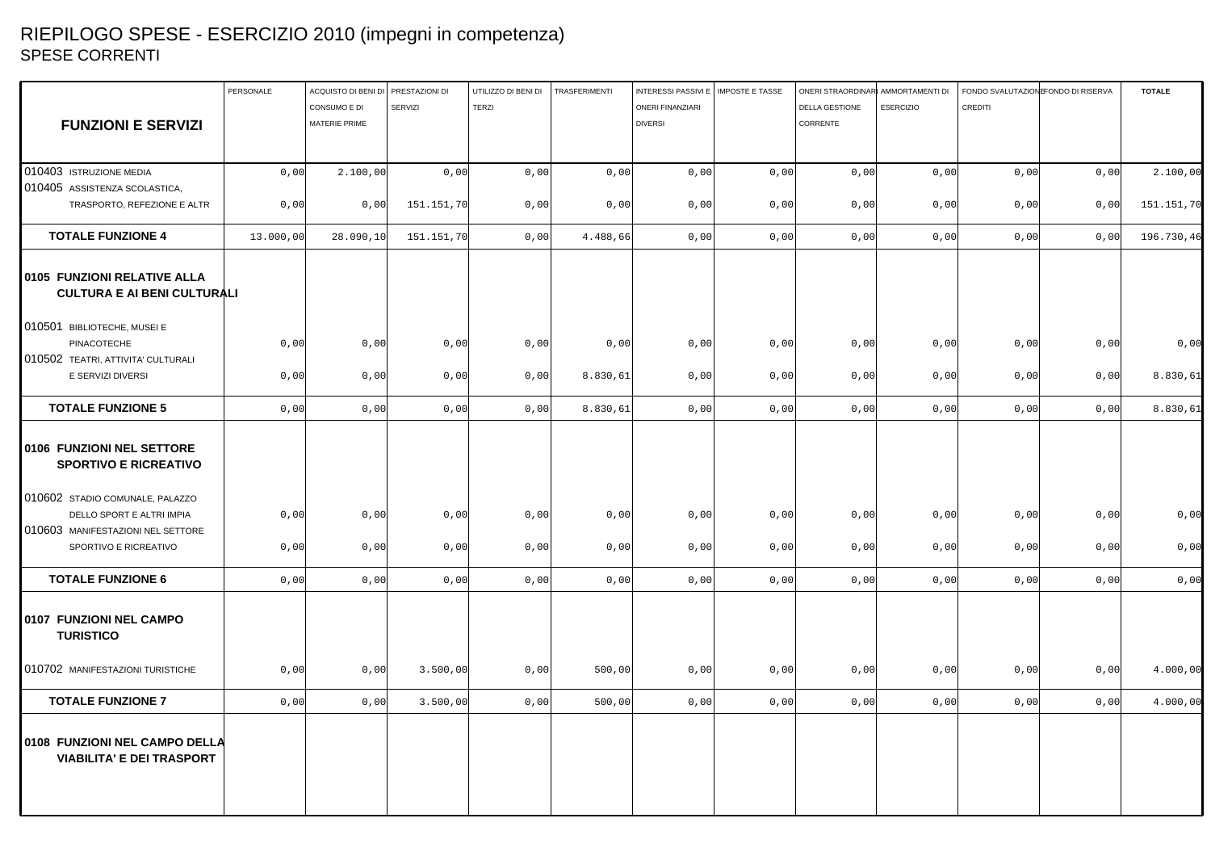## RIEPILOGO SPESE - ESERCIZIO 2010 (impegni in competenza) SPESE CORRENTI

|                                                                   | PERSONALE | ACQUISTO DI BENI DI PRESTAZIONI DI |                | UTILIZZO DI BENI DI | TRASFERIMENTI | INTERESSI PASSIVI E   IMPOSTE E TASSE |      | ONERI STRAORDINARI AMMORTAMENTI DI |                  | FONDO SVALUTAZION FONDO DI RISERVA |      | <b>TOTALE</b> |
|-------------------------------------------------------------------|-----------|------------------------------------|----------------|---------------------|---------------|---------------------------------------|------|------------------------------------|------------------|------------------------------------|------|---------------|
|                                                                   |           | CONSUMO E DI                       | <b>SERVIZI</b> | <b>TERZI</b>        |               | <b>ONERI FINANZIARI</b>               |      | DELLA GESTIONE                     | <b>ESERCIZIO</b> | <b>CREDITI</b>                     |      |               |
| <b>FUNZIONI E SERVIZI</b>                                         |           | MATERIE PRIME                      |                |                     |               | <b>DIVERSI</b>                        |      | CORRENTE                           |                  |                                    |      |               |
|                                                                   |           |                                    |                |                     |               |                                       |      |                                    |                  |                                    |      |               |
|                                                                   |           |                                    |                |                     |               |                                       |      |                                    |                  |                                    |      |               |
| 010403 ISTRUZIONE MEDIA                                           | 0,00      | 2.100,00                           | 0,00           | 0,00                | 0,00          | 0,00                                  | 0,00 | 0,00                               | 0,00             | 0,00                               | 0,00 | 2.100,00      |
| 010405 ASSISTENZA SCOLASTICA,                                     |           |                                    |                |                     |               |                                       |      |                                    |                  |                                    |      |               |
| TRASPORTO, REFEZIONE E ALTR                                       | 0,00      | 0,00                               | 151.151,70     | 0,00                | 0,00          | 0,00                                  | 0,00 | 0,00                               | 0,00             | 0,00                               | 0,00 | 151.151,70    |
| <b>TOTALE FUNZIONE 4</b>                                          | 13.000,00 | 28.090,10                          | 151.151,70     | 0,00                | 4.488,66      | 0,00                                  | 0,00 | 0,00                               | 0,00             | 0,00                               | 0,00 | 196.730,46    |
| 0105 FUNZIONI RELATIVE ALLA<br><b>CULTURA E AI BENI CULTURALI</b> |           |                                    |                |                     |               |                                       |      |                                    |                  |                                    |      |               |
| 010501 BIBLIOTECHE, MUSEI E                                       |           |                                    |                |                     |               |                                       |      |                                    |                  |                                    |      |               |
| PINACOTECHE                                                       | 0,00      | 0,00                               | 0,00           | 0,00                | 0,00          | 0,00                                  | 0,00 | 0,00                               | 0,00             | 0,00                               | 0,00 | 0,00          |
| 010502 TEATRI, ATTIVITA' CULTURALI                                |           |                                    |                |                     |               |                                       |      |                                    |                  |                                    |      |               |
| E SERVIZI DIVERSI                                                 | 0,00      | 0,00                               | 0,00           | 0,00                | 8.830,61      | 0,00                                  | 0,00 | 0,00                               | 0,00             | 0,00                               | 0,00 | 8.830,61      |
| <b>TOTALE FUNZIONE 5</b>                                          | 0,00      | 0,00                               | 0,00           | 0,00                | 8.830,61      | 0,00                                  | 0,00 | 0,00                               | 0,00             | 0,00                               | 0,00 | 8.830,61      |
| 0106 FUNZIONI NEL SETTORE<br><b>SPORTIVO E RICREATIVO</b>         |           |                                    |                |                     |               |                                       |      |                                    |                  |                                    |      |               |
| 010602 STADIO COMUNALE, PALAZZO<br>DELLO SPORT E ALTRI IMPIA      | 0,00      | 0,00                               | 0,00           | 0,00                | 0,00          | 0,00                                  | 0,00 | 0,00                               | 0,00             | 0,00                               | 0,00 | 0,00          |
| 010603 MANIFESTAZIONI NEL SETTORE                                 |           |                                    |                |                     |               |                                       |      |                                    |                  |                                    |      |               |
| SPORTIVO E RICREATIVO                                             | 0,00      | 0,00                               | 0,00           | 0,00                | 0,00          | 0,00                                  | 0,00 | 0,00                               | 0,00             | 0,00                               | 0,00 | 0,00          |
| <b>TOTALE FUNZIONE 6</b>                                          | 0,00      | 0,00                               | 0,00           | 0,00                | 0,00          | 0,00                                  | 0,00 | 0,00                               | 0,00             | 0,00                               | 0,00 | 0,00          |
| 0107 FUNZIONI NEL CAMPO<br><b>TURISTICO</b>                       |           |                                    |                |                     |               |                                       |      |                                    |                  |                                    |      |               |
| 010702 MANIFESTAZIONI TURISTICHE                                  | 0,00      | 0,00                               | 3.500,00       | 0,00                | 500,00        | 0,00                                  | 0,00 | 0,00                               | 0,00             | 0,00                               | 0,00 | 4.000,00      |
| <b>TOTALE FUNZIONE 7</b>                                          | 0,00      | 0,00                               | 3.500,00       | 0,00                | 500,00        | 0,00                                  | 0,00 | 0,00                               | 0,00             | 0,00                               | 0,00 | 4.000,00      |
| 0108 FUNZIONI NEL CAMPO DELLA<br><b>VIABILITA' E DEI TRASPORT</b> |           |                                    |                |                     |               |                                       |      |                                    |                  |                                    |      |               |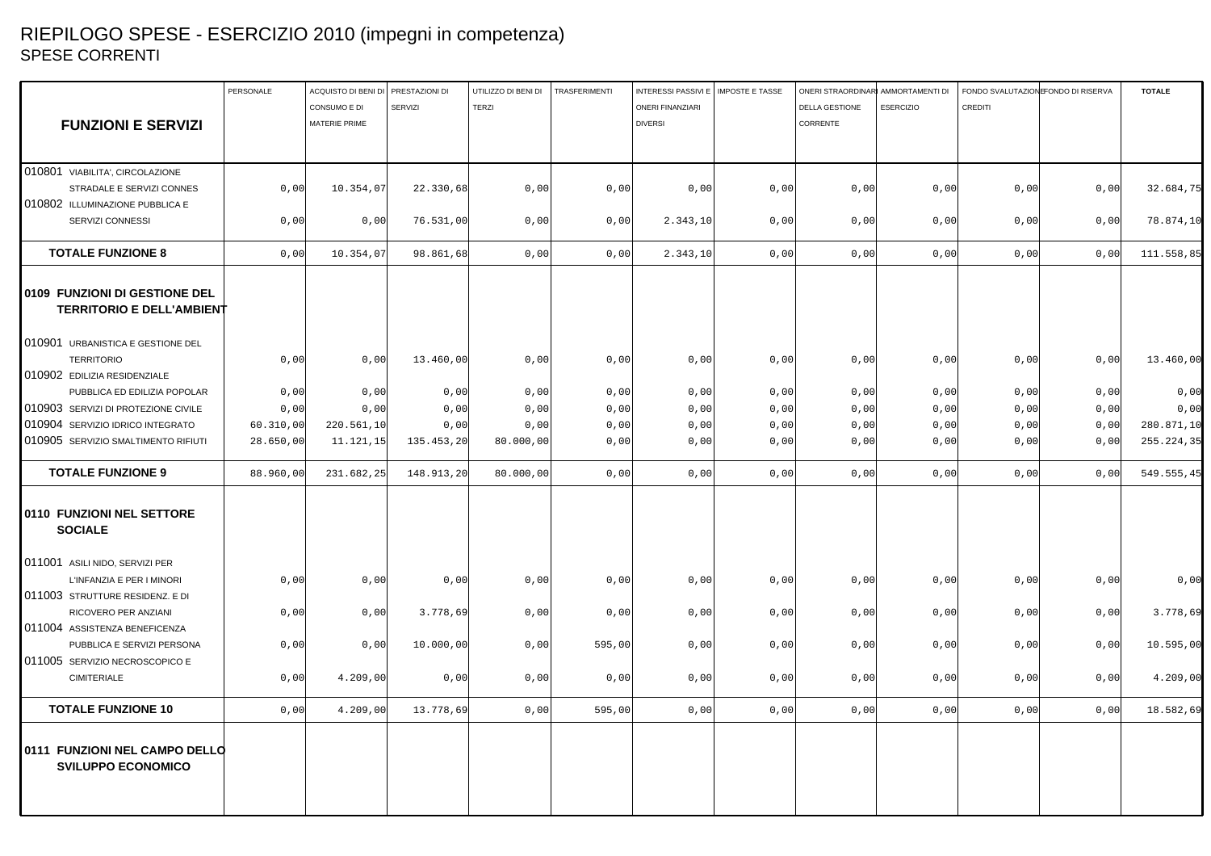## RIEPILOGO SPESE - ESERCIZIO 2010 (impegni in competenza) SPESE CORRENTI

|                                                                   | PERSONALE | ACQUISTO DI BENI DI PRESTAZIONI DI |                | UTILIZZO DI BENI DI | TRASFERIMENTI | INTERESSI PASSIVI E   IMPOSTE E TASSE |      | ONERI STRAORDINARI AMMORTAMENTI DI | FONDO SVALUTAZIONE ONDO DI RISERVA |      | <b>TOTALE</b> |
|-------------------------------------------------------------------|-----------|------------------------------------|----------------|---------------------|---------------|---------------------------------------|------|------------------------------------|------------------------------------|------|---------------|
|                                                                   |           | CONSUMO E DI                       | <b>SERVIZI</b> | <b>TERZI</b>        |               | <b>ONERI FINANZIARI</b>               |      | DELLA GESTIONE<br><b>ESERCIZIO</b> | <b>CREDITI</b>                     |      |               |
| <b>FUNZIONI E SERVIZI</b>                                         |           | <b>MATERIE PRIME</b>               |                |                     |               | <b>DIVERSI</b>                        |      | CORRENTE                           |                                    |      |               |
|                                                                   |           |                                    |                |                     |               |                                       |      |                                    |                                    |      |               |
|                                                                   |           |                                    |                |                     |               |                                       |      |                                    |                                    |      |               |
| 010801 VIABILITA', CIRCOLAZIONE                                   |           |                                    |                |                     |               |                                       |      |                                    |                                    |      |               |
| STRADALE E SERVIZI CONNES                                         | 0,00      | 10.354,07                          | 22.330,68      | 0,00                | 0,00          | 0,00                                  | 0,00 | 0,00<br>0,00                       | 0,00                               | 0,00 | 32.684,75     |
| 010802 ILLUMINAZIONE PUBBLICA E                                   |           |                                    |                |                     |               |                                       |      |                                    |                                    |      |               |
| SERVIZI CONNESSI                                                  | 0,00      | 0,00                               | 76.531,00      | 0,00                | 0,00          | 2.343, 10                             | 0,00 | 0,00<br>0,00                       | 0,00                               | 0,00 | 78.874,10     |
| <b>TOTALE FUNZIONE 8</b>                                          | 0,00      | 10.354,07                          | 98.861,68      | 0,00                | 0,00          | 2.343,10                              | 0,00 | 0,00<br>0,00                       | 0,00                               | 0,00 | 111.558,85    |
| 0109 FUNZIONI DI GESTIONE DEL<br><b>TERRITORIO E DELL'AMBIENT</b> |           |                                    |                |                     |               |                                       |      |                                    |                                    |      |               |
| 010901 URBANISTICA E GESTIONE DEL                                 |           |                                    |                |                     |               |                                       |      |                                    |                                    |      |               |
| <b>TERRITORIO</b>                                                 | 0,00      | 0,00                               | 13.460,00      | 0,00                | 0,00          | 0,00                                  | 0,00 | 0,00<br>0,00                       | 0,00                               | 0,00 | 13.460,00     |
| 010902 EDILIZIA RESIDENZIALE                                      |           |                                    |                |                     |               |                                       |      |                                    |                                    |      |               |
| PUBBLICA ED EDILIZIA POPOLAR                                      | 0,00      | 0,00                               | 0,00           | 0,00                | 0,00          | 0,00                                  | 0,00 | 0,00<br>0,00                       | 0,00                               | 0,00 | 0,00          |
| 010903 SERVIZI DI PROTEZIONE CIVILE                               | 0,00      | 0,00                               | 0,00           | 0,00                | 0,00          | 0,00                                  | 0,00 | 0,00<br>0,00                       | 0,00                               | 0,00 | 0,00          |
| 010904 SERVIZIO IDRICO INTEGRATO                                  | 60.310,00 | 220.561,10                         | 0,00           | 0,00                | 0,00          | 0,00                                  | 0,00 | 0,00<br>0,00                       | 0,00                               | 0,00 | 280.871,10    |
| 010905 SERVIZIO SMALTIMENTO RIFIUTI                               | 28.650,00 | 11.121.15                          | 135.453,20     | 80.000,00           | 0,00          | 0,00                                  | 0,00 | 0,00<br>0,00                       | 0,00                               | 0,00 | 255.224,35    |
|                                                                   |           |                                    |                |                     |               |                                       |      |                                    |                                    |      |               |
| <b>TOTALE FUNZIONE 9</b>                                          | 88.960,00 | 231.682,25                         | 148.913,20     | 80.000,00           | 0,00          | 0,00                                  | 0,00 | 0,00<br>0,00                       | 0,00                               | 0,00 | 549.555,45    |
| 0110 FUNZIONI NEL SETTORE<br><b>SOCIALE</b>                       |           |                                    |                |                     |               |                                       |      |                                    |                                    |      |               |
| 011001 ASILI NIDO, SERVIZI PER                                    |           |                                    |                |                     |               |                                       |      |                                    |                                    |      |               |
| L'INFANZIA E PER I MINORI                                         | 0,00      | 0,00                               | 0,00           | 0,00                | 0,00          | 0,00                                  | 0,00 | 0,00<br>0,00                       | 0,00                               | 0,00 | 0,00          |
| 011003 STRUTTURE RESIDENZ. E DI                                   |           |                                    |                |                     |               |                                       |      |                                    |                                    |      |               |
| RICOVERO PER ANZIANI                                              | 0,00      | 0,00                               | 3.778,69       | 0,00                | 0,00          | 0,00                                  | 0,00 | 0,00<br>0,00                       | 0,00                               | 0,00 | 3.778,69      |
| 011004 ASSISTENZA BENEFICENZA                                     |           |                                    |                |                     |               |                                       |      |                                    |                                    |      |               |
| PUBBLICA E SERVIZI PERSONA                                        | 0,00      | 0,00                               | 10.000,00      | 0,00                | 595,00        | 0,00                                  | 0,00 | 0,00<br>0,00                       | 0,00                               | 0,00 | 10.595,00     |
| 011005 SERVIZIO NECROSCOPICO E                                    |           |                                    |                |                     |               |                                       |      |                                    |                                    |      |               |
| <b>CIMITERIALE</b>                                                | 0,00      | 4.209,00                           | 0,00           | 0,00                | 0,00          | 0,00                                  | 0,00 | 0,00<br>0,00                       | 0,00                               | 0,00 | 4.209,00      |
| <b>TOTALE FUNZIONE 10</b>                                         | 0,00      | 4.209,00                           | 13.778,69      | 0,00                | 595,00        | 0,00                                  | 0,00 | 0,00<br>0,00                       | 0,00                               | 0,00 | 18.582,69     |
| 0111 FUNZIONI NEL CAMPO DELLO<br><b>SVILUPPO ECONOMICO</b>        |           |                                    |                |                     |               |                                       |      |                                    |                                    |      |               |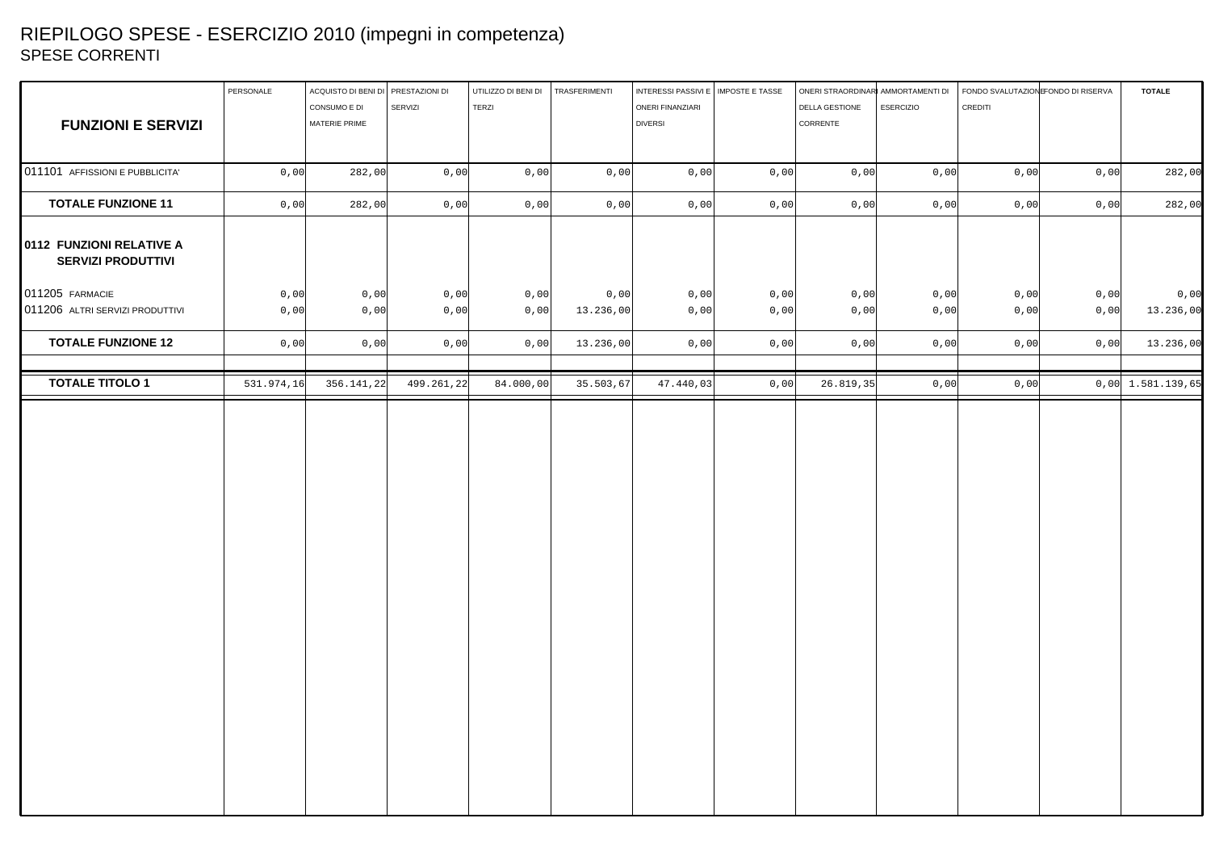## RIEPILOGO SPESE - ESERCIZIO 2010 (impegni in competenza) SPESE CORRENTI

|                                                       | PERSONALE  | ACQUISTO DI BENI DI PRESTAZIONI DI |            | UTILIZZO DI BENI DI | TRASFERIMENTI | INTERESSI PASSIVI E   IMPOSTE E TASSE |      | ONERI STRAORDINARI AMMORTAMENTI DI |              | FONDO SVALUTAZION FONDO DI RISERVA | <b>TOTALE</b>       |
|-------------------------------------------------------|------------|------------------------------------|------------|---------------------|---------------|---------------------------------------|------|------------------------------------|--------------|------------------------------------|---------------------|
|                                                       |            | CONSUMO E DI                       | SERVIZI    | TERZI               |               | ONERI FINANZIARI                      |      | DELLA GESTIONE<br><b>ESERCIZIO</b> | CREDITI      |                                    |                     |
| <b>FUNZIONI E SERVIZI</b>                             |            | MATERIE PRIME                      |            |                     |               | <b>DIVERSI</b>                        |      | CORRENTE                           |              |                                    |                     |
|                                                       |            |                                    |            |                     |               |                                       |      |                                    |              |                                    |                     |
| 011101 AFFISSIONI E PUBBLICITA'                       | 0,00       | 282,00                             | 0,00       | 0,00                | 0,00          | 0,00                                  | 0,00 | 0,00                               | 0,00<br>0,00 | 0,00                               | 282,00              |
| <b>TOTALE FUNZIONE 11</b>                             | 0,00       | 282,00                             | 0,00       | 0,00                | 0,00          | 0,00                                  | 0,00 | 0,00                               | 0,00<br>0,00 | 0,00                               | 282,00              |
| 0112 FUNZIONI RELATIVE A<br><b>SERVIZI PRODUTTIVI</b> |            |                                    |            |                     |               |                                       |      |                                    |              |                                    |                     |
| 011205 FARMACIE                                       | 0,00       | 0,00                               | 0,00       | 0,00                | 0,00          | 0,00                                  | 0,00 | 0,00                               | 0,00<br>0,00 | 0,00                               | 0,00                |
| 011206 ALTRI SERVIZI PRODUTTIVI                       | 0,00       | 0,00                               | 0,00       | 0,00                | 13.236,00     | 0,00                                  | 0,00 | 0,00                               | 0,00<br>0,00 | 0,00                               | 13.236,00           |
| <b>TOTALE FUNZIONE 12</b>                             | 0,00       | 0,00                               | 0,00       | 0,00                | 13.236,00     | 0,00                                  | 0,00 | 0,00                               | 0,00<br>0,00 | 0,00                               | 13.236,00           |
| <b>TOTALE TITOLO 1</b>                                | 531.974,16 | 356.141,22                         | 499.261,22 | 84.000,00           | 35.503,67     | 47.440,03                             | 0,00 | 26.819,35                          | 0,00<br>0,00 |                                    | $0,00$ 1.581.139,65 |
|                                                       |            |                                    |            |                     |               |                                       |      |                                    |              |                                    |                     |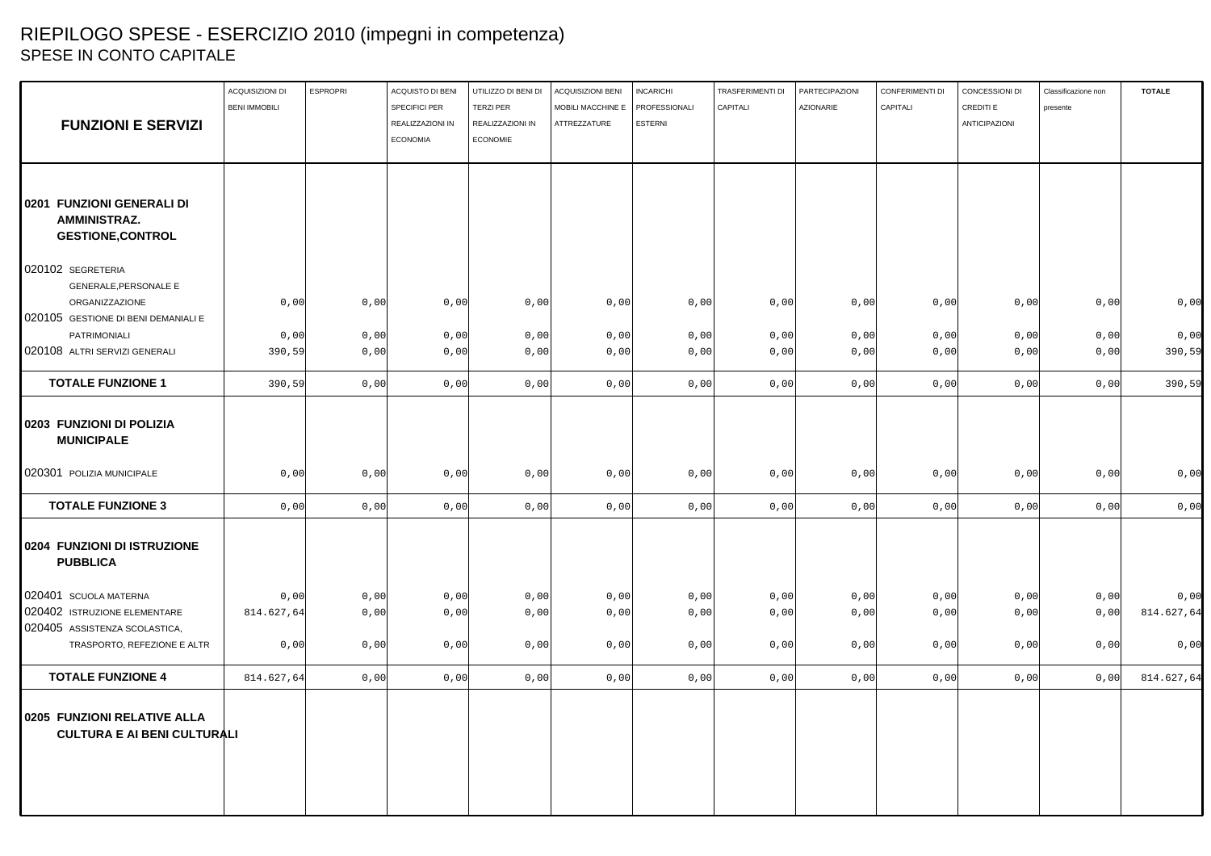# RIEPILOGO SPESE - ESERCIZIO 2010 (impegni in competenza) SPESE IN CONTO CAPITALE

|                                                                   | ACQUISIZIONI DI<br><b>BENI IMMOBILI</b> | <b>ESPROPRI</b> | ACQUISTO DI BENI<br><b>SPECIFICI PER</b> | UTILIZZO DI BENI DI<br><b>TERZI PER</b> | <b>ACQUISIZIONI BENI</b><br>MOBILI MACCHINE E | <b>INCARICHI</b><br>PROFESSIONALI | <b>TRASFERIMENTI DI</b><br>CAPITALI | PARTECIPAZIONI<br><b>AZIONARIE</b> | CONFERIMENTI DI<br>CAPITALI | CONCESSIONI DI<br>CREDITI E | Classificazione non<br>presente | <b>TOTALE</b> |
|-------------------------------------------------------------------|-----------------------------------------|-----------------|------------------------------------------|-----------------------------------------|-----------------------------------------------|-----------------------------------|-------------------------------------|------------------------------------|-----------------------------|-----------------------------|---------------------------------|---------------|
| <b>FUNZIONI E SERVIZI</b>                                         |                                         |                 | REALIZZAZIONI IN                         | REALIZZAZIONI IN                        | ATTREZZATURE                                  | <b>ESTERNI</b>                    |                                     |                                    |                             | <b>ANTICIPAZIONI</b>        |                                 |               |
|                                                                   |                                         |                 | <b>ECONOMIA</b>                          | <b>ECONOMIE</b>                         |                                               |                                   |                                     |                                    |                             |                             |                                 |               |
|                                                                   |                                         |                 |                                          |                                         |                                               |                                   |                                     |                                    |                             |                             |                                 |               |
| 0201 FUNZIONI GENERALI DI                                         |                                         |                 |                                          |                                         |                                               |                                   |                                     |                                    |                             |                             |                                 |               |
| <b>AMMINISTRAZ.</b><br><b>GESTIONE, CONTROL</b>                   |                                         |                 |                                          |                                         |                                               |                                   |                                     |                                    |                             |                             |                                 |               |
|                                                                   |                                         |                 |                                          |                                         |                                               |                                   |                                     |                                    |                             |                             |                                 |               |
| 020102 SEGRETERIA                                                 |                                         |                 |                                          |                                         |                                               |                                   |                                     |                                    |                             |                             |                                 |               |
| <b>GENERALE, PERSONALE E</b>                                      |                                         |                 |                                          |                                         |                                               |                                   |                                     |                                    |                             |                             |                                 |               |
| ORGANIZZAZIONE                                                    | 0,00                                    | 0,00            | 0,00                                     | 0,00                                    | 0,00                                          | 0,00                              | 0,00                                | 0,00                               | 0,00                        | 0,00                        | 0,00                            | 0,00          |
| 020105 GESTIONE DI BENI DEMANIALI E                               |                                         |                 |                                          |                                         |                                               |                                   |                                     |                                    |                             |                             |                                 |               |
| PATRIMONIALI                                                      | 0,00                                    | 0,00            | 0,00                                     | 0,00                                    | 0,00                                          | 0,00                              | 0,00                                | 0,00                               | 0,00                        | 0,00                        | 0,00                            | 0,00          |
| 020108 ALTRI SERVIZI GENERALI                                     | 390,59                                  | 0,00            | 0,00                                     | 0,00                                    | 0,00                                          | 0,00                              | 0,00                                | 0,00                               | 0,00                        | 0,00                        | 0,00                            | 390,59        |
| <b>TOTALE FUNZIONE 1</b>                                          | 390,59                                  | 0,00            | 0,00                                     | 0,00                                    | 0,00                                          | 0,00                              | 0,00                                | 0,00                               | 0,00                        | 0,00                        | 0,00                            | 390,59        |
| 0203 FUNZIONI DI POLIZIA<br><b>MUNICIPALE</b>                     |                                         |                 |                                          |                                         |                                               |                                   |                                     |                                    |                             |                             |                                 |               |
| 020301 POLIZIA MUNICIPALE                                         | 0,00                                    | 0,00            | 0,00                                     | 0,00                                    | 0,00                                          | 0,00                              | 0,00                                | 0,00                               | 0,00                        | 0,00                        | 0,00                            | 0,00          |
| <b>TOTALE FUNZIONE 3</b>                                          | 0,00                                    | 0,00            | 0,00                                     | 0,00                                    | 0,00                                          | 0,00                              | 0,00                                | 0,00                               | 0,00                        | 0,00                        | 0,00                            | 0,00          |
| 0204 FUNZIONI DI ISTRUZIONE<br><b>PUBBLICA</b>                    |                                         |                 |                                          |                                         |                                               |                                   |                                     |                                    |                             |                             |                                 |               |
| 020401 SCUOLA MATERNA                                             | 0,00                                    | 0,00            | 0,00                                     | 0,00                                    | 0,00                                          | 0,00                              | 0,00                                | 0,00                               | 0,00                        | 0,00                        | 0,00                            | 0,00          |
| 020402 ISTRUZIONE ELEMENTARE                                      | 814.627,64                              | 0,00            | 0,00                                     | 0,00                                    | 0,00                                          | 0,00                              | 0,00                                | 0,00                               | 0,00                        | 0,00                        | 0,00                            | 814.627,64    |
| 020405 ASSISTENZA SCOLASTICA,                                     |                                         |                 |                                          |                                         |                                               |                                   |                                     |                                    |                             |                             |                                 |               |
| TRASPORTO, REFEZIONE E ALTR                                       | 0,00                                    | 0,00            | 0,00                                     | 0,00                                    | 0,00                                          | 0,00                              | 0,00                                | 0,00                               | 0,00                        | 0,00                        | 0,00                            | 0,00          |
| <b>TOTALE FUNZIONE 4</b>                                          | 814.627,64                              | 0,00            | 0,00                                     | 0,00                                    | 0,00                                          | 0,00                              | 0,00                                | 0,00                               | 0,00                        | 0,00                        | 0,00                            | 814.627,64    |
| 0205 FUNZIONI RELATIVE ALLA<br><b>CULTURA E AI BENI CULTURALI</b> |                                         |                 |                                          |                                         |                                               |                                   |                                     |                                    |                             |                             |                                 |               |
|                                                                   |                                         |                 |                                          |                                         |                                               |                                   |                                     |                                    |                             |                             |                                 |               |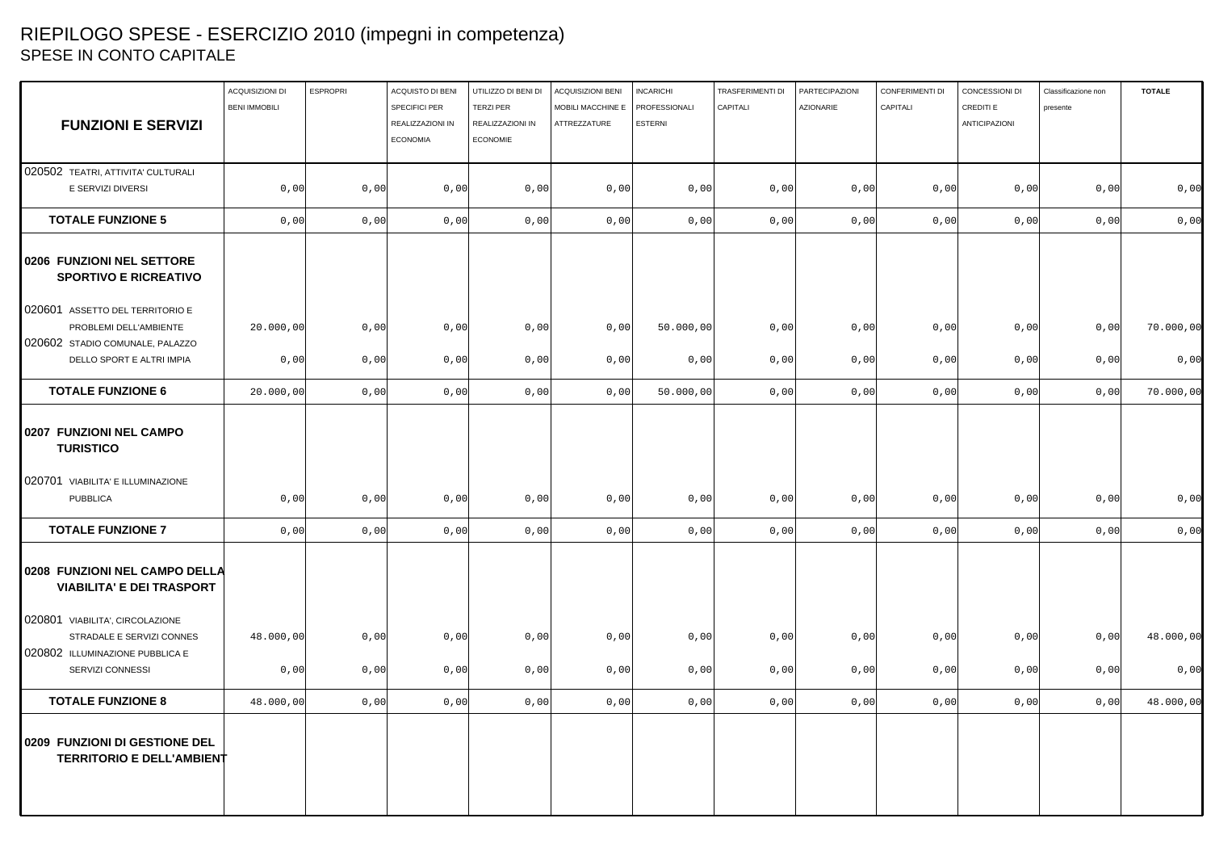## RIEPILOGO SPESE - ESERCIZIO 2010 (impegni in competenza) SPESE IN CONTO CAPITALE

|                                                                   | ACQUISIZIONI DI      | <b>ESPROPRI</b> | ACQUISTO DI BENI                  | UTILIZZO DI BENI DI                  | ACQUISIZIONI BENI                 | <b>INCARICHI</b>                | TRASFERIMENTI DI | PARTECIPAZIONI   | CONFERIMENTI DI | CONCESSIONI DI             | Classificazione non | <b>TOTALE</b> |
|-------------------------------------------------------------------|----------------------|-----------------|-----------------------------------|--------------------------------------|-----------------------------------|---------------------------------|------------------|------------------|-----------------|----------------------------|---------------------|---------------|
| <b>FUNZIONI E SERVIZI</b>                                         | <b>BENI IMMOBILI</b> |                 | SPECIFICI PER<br>REALIZZAZIONI IN | <b>TERZI PER</b><br>REALIZZAZIONI IN | MOBILI MACCHINE E<br>ATTREZZATURE | PROFESSIONALI<br><b>ESTERNI</b> | CAPITALI         | <b>AZIONARIE</b> | CAPITALI        | CREDITI E<br>ANTICIPAZIONI | presente            |               |
|                                                                   |                      |                 | <b>ECONOMIA</b>                   | <b>ECONOMIE</b>                      |                                   |                                 |                  |                  |                 |                            |                     |               |
| 020502 TEATRI, ATTIVITA' CULTURALI                                |                      |                 |                                   |                                      |                                   |                                 |                  |                  |                 |                            |                     |               |
| E SERVIZI DIVERSI                                                 | 0,00                 | 0,00            | 0,00                              | 0,00                                 | 0,00                              | 0,00                            | 0,00             | 0,00             | 0,00            | 0,00                       | 0,00                | 0,00          |
| <b>TOTALE FUNZIONE 5</b>                                          | 0,00                 | 0,00            | 0,00                              | 0,00                                 | 0,00                              | 0,00                            | 0,00             | 0,00             | 0,00            | 0,00                       | 0,00                | 0,00          |
| 0206 FUNZIONI NEL SETTORE<br><b>SPORTIVO E RICREATIVO</b>         |                      |                 |                                   |                                      |                                   |                                 |                  |                  |                 |                            |                     |               |
| 020601 ASSETTO DEL TERRITORIO E                                   |                      |                 |                                   |                                      |                                   |                                 |                  |                  |                 |                            |                     |               |
| PROBLEMI DELL'AMBIENTE                                            | 20.000,00            | 0,00            | 0,00                              | 0,00                                 | 0,00                              | 50.000,00                       | 0,00             | 0,00             | 0,00            | 0,00                       | 0,00                | 70.000,00     |
| 020602 STADIO COMUNALE, PALAZZO<br>DELLO SPORT E ALTRI IMPIA      | 0,00                 | 0,00            | 0,00                              | 0,00                                 | 0,00                              | 0,00                            | 0,00             | 0,00             | 0,00            | 0,00                       | 0,00                | 0,00          |
| <b>TOTALE FUNZIONE 6</b>                                          | 20.000,00            | 0,00            | 0,00                              | 0,00                                 | 0,00                              | 50.000,00                       | 0,00             | 0,00             | 0,00            | 0,00                       | 0,00                | 70.000,00     |
| 0207 FUNZIONI NEL CAMPO<br><b>TURISTICO</b>                       |                      |                 |                                   |                                      |                                   |                                 |                  |                  |                 |                            |                     |               |
| 020701 VIABILITA' E ILLUMINAZIONE<br><b>PUBBLICA</b>              | 0,00                 | 0,00            | 0,00                              | 0,00                                 | 0,00                              | 0,00                            | 0,00             | 0,00             | 0,00            | 0,00                       | 0,00                | 0,00          |
| <b>TOTALE FUNZIONE 7</b>                                          | 0,00                 | 0,00            | 0,00                              | 0,00                                 | 0,00                              | 0,00                            | 0,00             | 0,00             | 0,00            | 0,00                       | 0,00                | 0,00          |
| 0208 FUNZIONI NEL CAMPO DELLA<br><b>VIABILITA' E DEI TRASPORT</b> |                      |                 |                                   |                                      |                                   |                                 |                  |                  |                 |                            |                     |               |
| 020801 VIABILITA', CIRCOLAZIONE<br>STRADALE E SERVIZI CONNES      | 48.000,00            | 0,00            | 0,00                              | 0,00                                 | 0,00                              | 0,00                            | 0,00             | 0,00             | 0,00            | 0,00                       | 0,00                | 48.000,00     |
| 020802 ILLUMINAZIONE PUBBLICA E<br>SERVIZI CONNESSI               | 0,00                 | 0,00            | 0,00                              | 0,00                                 | 0,00                              | 0,00                            | 0,00             | 0,00             | 0,00            | 0,00                       | 0,00                | 0,00          |
| <b>TOTALE FUNZIONE 8</b>                                          | 48.000,00            | 0,00            | 0,00                              | 0,00                                 | 0,00                              | 0,00                            | 0,00             | 0,00             | 0,00            | 0,00                       | 0,00                | 48.000,00     |
| 0209 FUNZIONI DI GESTIONE DEL<br><b>TERRITORIO E DELL'AMBIENT</b> |                      |                 |                                   |                                      |                                   |                                 |                  |                  |                 |                            |                     |               |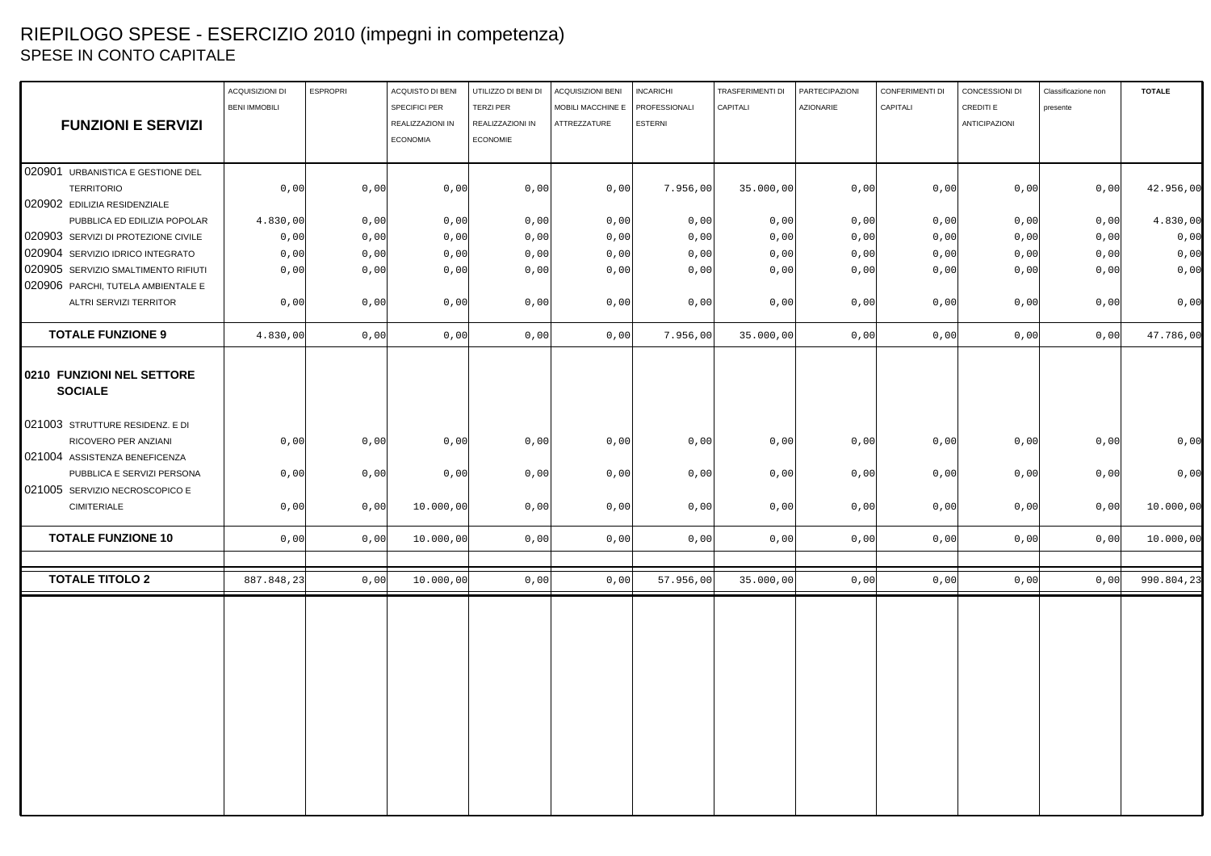# RIEPILOGO SPESE - ESERCIZIO 2010 (impegni in competenza) SPESE IN CONTO CAPITALE

|                                                                                          | ACQUISIZIONI DI      | <b>ESPROPRI</b> | ACQUISTO DI BENI | UTILIZZO DI BENI DI | ACQUISIZIONI BENI | <b>INCARICHI</b> | TRASFERIMENTI DI | PARTECIPAZIONI   | CONFERIMENTI DI | CONCESSIONI DI | Classificazione non | <b>TOTALE</b> |
|------------------------------------------------------------------------------------------|----------------------|-----------------|------------------|---------------------|-------------------|------------------|------------------|------------------|-----------------|----------------|---------------------|---------------|
|                                                                                          | <b>BENI IMMOBILI</b> |                 | SPECIFICI PER    | <b>TERZI PER</b>    | MOBILI MACCHINE E | PROFESSIONALI    | CAPITALI         | <b>AZIONARIE</b> | CAPITALI        | CREDITI E      | presente            |               |
| <b>FUNZIONI E SERVIZI</b>                                                                |                      |                 | REALIZZAZIONI IN | REALIZZAZIONI IN    | ATTREZZATURE      | <b>ESTERNI</b>   |                  |                  |                 | ANTICIPAZIONI  |                     |               |
|                                                                                          |                      |                 | <b>ECONOMIA</b>  | <b>ECONOMIE</b>     |                   |                  |                  |                  |                 |                |                     |               |
|                                                                                          |                      |                 |                  |                     |                   |                  |                  |                  |                 |                |                     |               |
| 020901 URBANISTICA E GESTIONE DEL                                                        |                      |                 |                  |                     |                   |                  |                  |                  |                 |                |                     |               |
| <b>TERRITORIO</b>                                                                        | 0,00                 | 0,00            | 0,00             | 0,00                | 0,00              | 7.956,00         | 35.000,00        | 0,00             | 0,00            | 0,00           | 0,00                | 42.956,00     |
| 020902 EDILIZIA RESIDENZIALE                                                             |                      |                 |                  |                     |                   |                  |                  |                  |                 |                |                     |               |
| PUBBLICA ED EDILIZIA POPOLAR                                                             | 4.830,00             | 0,00            | 0,00             | 0,00                | 0,00              | 0,00             | 0,00             | 0,00             | 0,00            | 0,00           | 0,00                | 4.830,00      |
| 020903 SERVIZI DI PROTEZIONE CIVILE                                                      | 0,00                 | 0,00            | 0,00             | 0,00                | 0,00              | 0,00             | 0,00             | 0,00             | 0,00            | 0,00           | 0,00                | 0,00          |
| 020904 SERVIZIO IDRICO INTEGRATO                                                         | 0,00                 | 0,00            | 0,00             | 0,00                | 0,00              | 0,00             | 0,00             | 0,00             | 0,00            | 0,00           | 0,00                | 0,00          |
| 020905 SERVIZIO SMALTIMENTO RIFIUTI                                                      | 0,00                 | 0,00            | 0,00             | 0,00                | 0,00              | 0,00             | 0,00             | 0,00             | 0,00            | 0,00           | 0,00                | 0,00          |
| 020906 PARCHI, TUTELA AMBIENTALE E                                                       |                      |                 |                  |                     |                   |                  |                  |                  |                 |                |                     |               |
| ALTRI SERVIZI TERRITOR                                                                   | 0,00                 | 0,00            | 0,00             | 0,00                | 0,00              | 0,00             | 0,00             | 0,00             | 0,00            | 0,00           | 0,00                | 0,00          |
| <b>TOTALE FUNZIONE 9</b>                                                                 | 4.830,00             | 0,00            | 0,00             | 0,00                | 0,00              | 7.956,00         | 35.000,00        | 0,00             | 0,00            | 0,00           | 0,00                | 47.786,00     |
| 0210 FUNZIONI NEL SETTORE<br><b>SOCIALE</b>                                              |                      |                 |                  |                     |                   |                  |                  |                  |                 |                |                     |               |
| 021003 STRUTTURE RESIDENZ. E DI<br>RICOVERO PER ANZIANI<br>021004 ASSISTENZA BENEFICENZA | 0,00                 | 0,00            | 0,00             | 0,00                | 0,00              | 0,00             | 0,00             | 0,00             | 0,00            | 0,00           | 0,00                | 0,00          |
| PUBBLICA E SERVIZI PERSONA                                                               | 0,00                 | 0,00            | 0,00             | 0,00                | 0,00              | 0,00             | 0,00             | 0,00             | 0,00            | 0,00           | 0,00                | 0,00          |
| 021005 SERVIZIO NECROSCOPICO E                                                           |                      |                 |                  |                     |                   |                  |                  |                  |                 |                |                     |               |
| <b>CIMITERIALE</b>                                                                       | 0,00                 | 0,00            | 10.000,00        | 0,00                | 0,00              | 0,00             | 0,00             | 0,00             | 0,00            | 0,00           | 0,00                | 10.000,00     |
| <b>TOTALE FUNZIONE 10</b>                                                                | 0,00                 | 0,00            | 10.000,00        | 0,00                | 0,00              | 0,00             | 0,00             | 0,00             | 0,00            | 0,00           | 0,00                | 10.000,00     |
|                                                                                          |                      |                 |                  |                     |                   |                  |                  |                  |                 |                |                     |               |
| <b>TOTALE TITOLO 2</b>                                                                   | 887.848,23           | 0,00            | 10.000,00        | 0,00                | 0,00              | 57.956,00        | 35.000,00        | 0,00             | 0,00            | 0,00           | 0,00                | 990.804,23    |
|                                                                                          |                      |                 |                  |                     |                   |                  |                  |                  |                 |                |                     |               |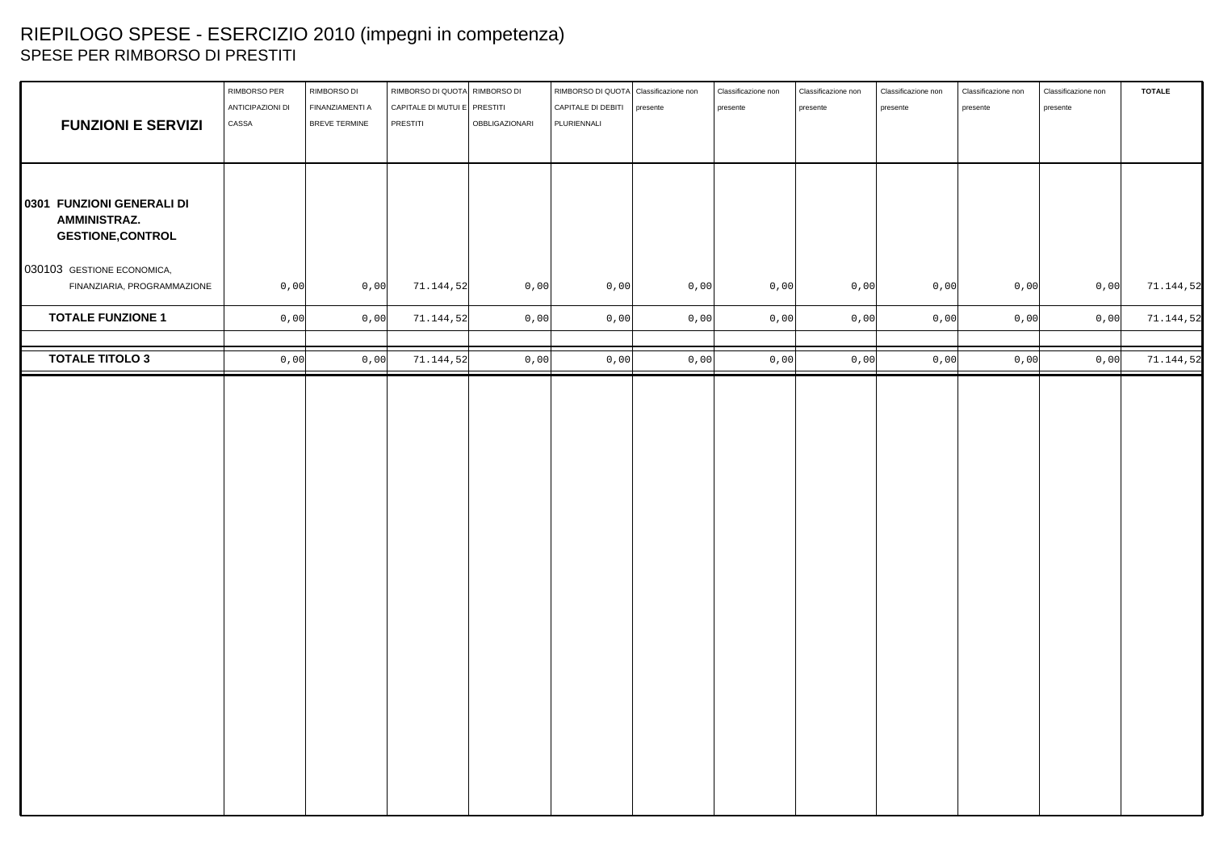# RIEPILOGO SPESE - ESERCIZIO 2010 (impegni in competenza) SPESE PER RIMBORSO DI PRESTITI

| <b>FUNZIONI E SERVIZI</b>                                                    | RIMBORSO PER<br>ANTICIPAZIONI DI<br>CASSA | RIMBORSO DI<br>FINANZIAMENTI A<br>BREVE TERMINE | RIMBORSO DI QUOTA RIMBORSO DI<br>CAPITALE DI MUTUI E PRESTITI<br>PRESTITI | OBBLIGAZIONARI | RIMBORSO DI QUOTA Classificazione non<br>CAPITALE DI DEBITI   presente<br>PLURIENNALI |      | Classificazione non<br>presente | Classificazione non<br>presente | Classificazione non<br>presente | Classificazione non<br>presente | Classificazione non<br>presente | <b>TOTALE</b> |
|------------------------------------------------------------------------------|-------------------------------------------|-------------------------------------------------|---------------------------------------------------------------------------|----------------|---------------------------------------------------------------------------------------|------|---------------------------------|---------------------------------|---------------------------------|---------------------------------|---------------------------------|---------------|
| 0301 FUNZIONI GENERALI DI<br><b>AMMINISTRAZ.</b><br><b>GESTIONE, CONTROL</b> |                                           |                                                 |                                                                           |                |                                                                                       |      |                                 |                                 |                                 |                                 |                                 |               |
| 030103 GESTIONE ECONOMICA,<br>FINANZIARIA, PROGRAMMAZIONE                    | 0,00                                      | 0,00                                            | 71.144,52                                                                 | 0,00           | 0,00                                                                                  | 0,00 | $0,00$                          | 0,00                            | 0,00                            | 0,00                            | 0,00                            | 71.144,52     |
| <b>TOTALE FUNZIONE 1</b>                                                     | 0,00                                      | 0,00                                            | 71.144,52                                                                 | 0,00           | 0,00                                                                                  | 0,00 | 0,00                            | 0,00                            | 0,00                            | 0,00                            | 0,00                            | 71.144,52     |
| <b>TOTALE TITOLO 3</b>                                                       | 0,00                                      | 0,00                                            | 71.144,52                                                                 | 0,00           | 0,00                                                                                  | 0,00 | 0,00                            | 0,00                            | 0,00                            | 0,00                            | 0,00                            | 71.144,52     |
|                                                                              |                                           |                                                 |                                                                           |                |                                                                                       |      |                                 |                                 |                                 |                                 |                                 |               |